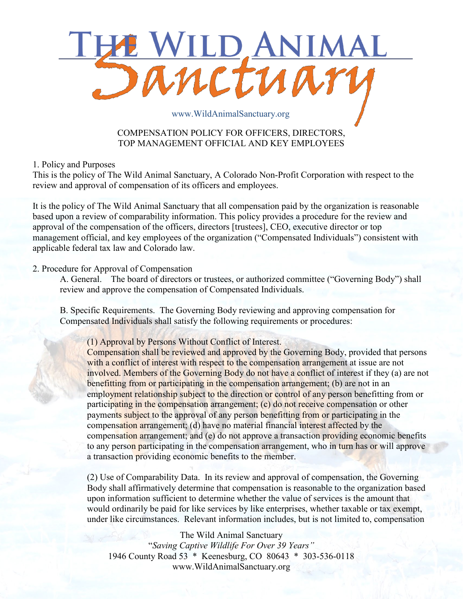

## COMPENSATION POLICY FOR OFFICERS, DIRECTORS, TOP MANAGEMENT OFFICIAL AND KEY EMPLOYEES

1. Policy and Purposes

This is the policy of The Wild Animal Sanctuary, A Colorado Non-Profit Corporation with respect to the review and approval of compensation of its officers and employees.

It is the policy of The Wild Animal Sanctuary that all compensation paid by the organization is reasonable based upon a review of comparability information. This policy provides a procedure for the review and approval of the compensation of the officers, directors [trustees], CEO, executive director or top management official, and key employees of the organization ("Compensated Individuals") consistent with applicable federal tax law and Colorado law.

## 2. Procedure for Approval of Compensation

A. General. The board of directors or trustees, or authorized committee ("Governing Body") shall review and approve the compensation of Compensated Individuals.

B. Specific Requirements. The Governing Body reviewing and approving compensation for Compensated Individuals shall satisfy the following requirements or procedures:

(1) Approval by Persons Without Conflict of Interest.

Compensation shall be reviewed and approved by the Governing Body, provided that persons with a conflict of interest with respect to the compensation arrangement at issue are not involved. Members of the Governing Body do not have a conflict of interest if they (a) are not benefitting from or participating in the compensation arrangement; (b) are not in an employment relationship subject to the direction or control of any person benefitting from or participating in the compensation arrangement; (c) do not receive compensation or other payments subject to the approval of any person benefitting from or participating in the compensation arrangement; (d) have no material financial interest affected by the compensation arrangement; and (e) do not approve a transaction providing economic benefits to any person participating in the compensation arrangement, who in turn has or will approve a transaction providing economic benefits to the member.

(2) Use of Comparability Data. In its review and approval of compensation, the Governing Body shall affirmatively determine that compensation is reasonable to the organization based upon information sufficient to determine whether the value of services is the amount that would ordinarily be paid for like services by like enterprises, whether taxable or tax exempt, under like circumstances. Relevant information includes, but is not limited to, compensation

The Wild Animal Sanctuary "*Saving Captive Wildlife For Over 39 Years"* 1946 County Road 53 \* Keenesburg, CO 80643 \* 303-536-0118 www.WildAnimalSanctuary.org